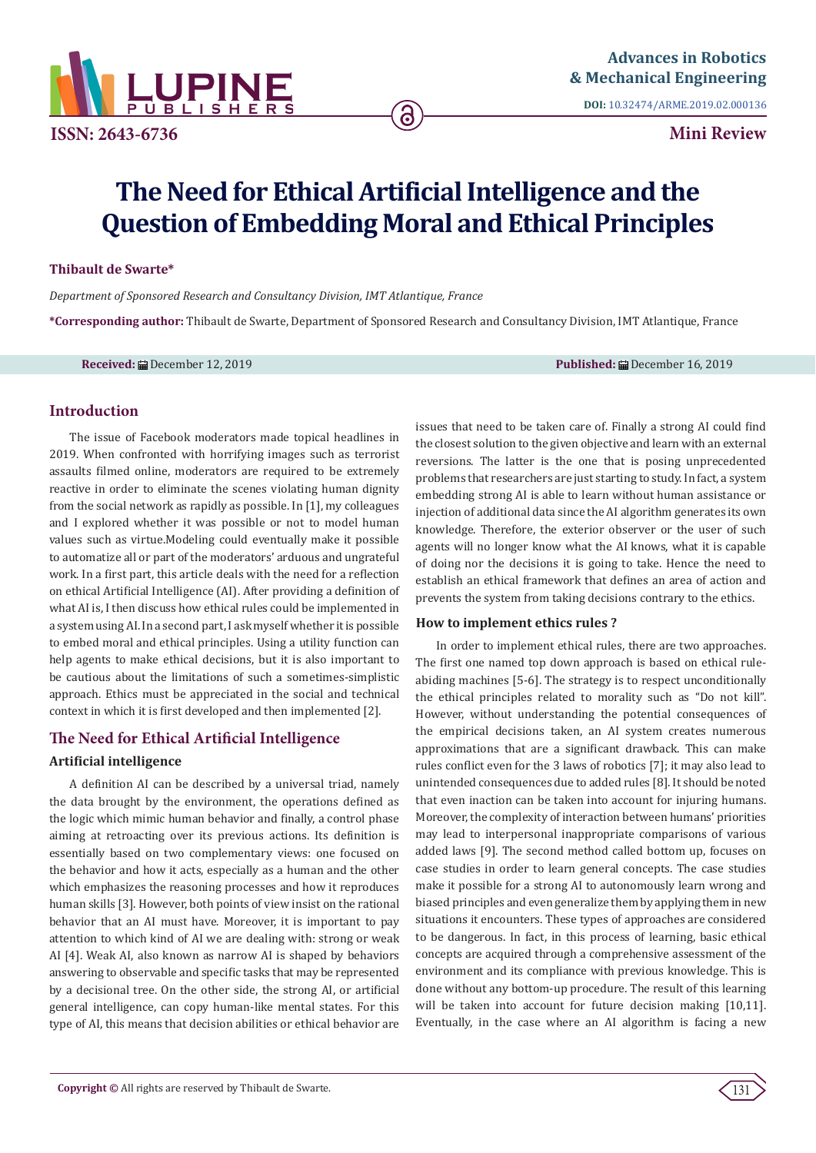

**ISSN: 2643-6736**

**DOI:** [10.32474/ARME.2019.02.000136](http://dx.doi.org/10.32474/ARME.2019.02.000136)

**Mini Review**

# **The Need for Ethical Artificial Intelligence and the Question of Embedding Moral and Ethical Principles**

6

**Thibault de Swarte\***

*Department of Sponsored Research and Consultancy Division, IMT Atlantique, France*

**\*Corresponding author:** Thibault de Swarte, Department of Sponsored Research and Consultancy Division, IMT Atlantique, France

**Received:** December 12, 2019 **Published:** December 16, 2019

# **Introduction**

The issue of Facebook moderators made topical headlines in 2019. When confronted with horrifying images such as terrorist assaults filmed online, moderators are required to be extremely reactive in order to eliminate the scenes violating human dignity from the social network as rapidly as possible. In [1], my colleagues and I explored whether it was possible or not to model human values such as virtue.Modeling could eventually make it possible to automatize all or part of the moderators' arduous and ungrateful work. In a first part, this article deals with the need for a reflection on ethical Artificial Intelligence (AI). After providing a definition of what AI is, I then discuss how ethical rules could be implemented in a system using AI. In a second part, I ask myself whether it is possible to embed moral and ethical principles. Using a utility function can help agents to make ethical decisions, but it is also important to be cautious about the limitations of such a sometimes-simplistic approach. Ethics must be appreciated in the social and technical context in which it is first developed and then implemented [2].

# **The Need for Ethical Artificial Intelligence**

## **Artificial intelligence**

A definition AI can be described by a universal triad, namely the data brought by the environment, the operations defined as the logic which mimic human behavior and finally, a control phase aiming at retroacting over its previous actions. Its definition is essentially based on two complementary views: one focused on the behavior and how it acts, especially as a human and the other which emphasizes the reasoning processes and how it reproduces human skills [3]. However, both points of view insist on the rational behavior that an AI must have. Moreover, it is important to pay attention to which kind of AI we are dealing with: strong or weak AI [4]. Weak AI, also known as narrow AI is shaped by behaviors answering to observable and specific tasks that may be represented by a decisional tree. On the other side, the strong AI, or artificial general intelligence, can copy human-like mental states. For this type of AI, this means that decision abilities or ethical behavior are issues that need to be taken care of. Finally a strong AI could find the closest solution to the given objective and learn with an external reversions. The latter is the one that is posing unprecedented problems that researchers are just starting to study. In fact, a system embedding strong AI is able to learn without human assistance or injection of additional data since the AI algorithm generates its own knowledge. Therefore, the exterior observer or the user of such agents will no longer know what the AI knows, what it is capable of doing nor the decisions it is going to take. Hence the need to establish an ethical framework that defines an area of action and prevents the system from taking decisions contrary to the ethics.

## **How to implement ethics rules ?**

In order to implement ethical rules, there are two approaches. The first one named top down approach is based on ethical ruleabiding machines [5-6]. The strategy is to respect unconditionally the ethical principles related to morality such as "Do not kill". However, without understanding the potential consequences of the empirical decisions taken, an AI system creates numerous approximations that are a significant drawback. This can make rules conflict even for the 3 laws of robotics [7]; it may also lead to unintended consequences due to added rules [8]. It should be noted that even inaction can be taken into account for injuring humans. Moreover, the complexity of interaction between humans' priorities may lead to interpersonal inappropriate comparisons of various added laws [9]. The second method called bottom up, focuses on case studies in order to learn general concepts. The case studies make it possible for a strong AI to autonomously learn wrong and biased principles and even generalize them by applying them in new situations it encounters. These types of approaches are considered to be dangerous. In fact, in this process of learning, basic ethical concepts are acquired through a comprehensive assessment of the environment and its compliance with previous knowledge. This is done without any bottom-up procedure. The result of this learning will be taken into account for future decision making [10,11]. Eventually, in the case where an AI algorithm is facing a new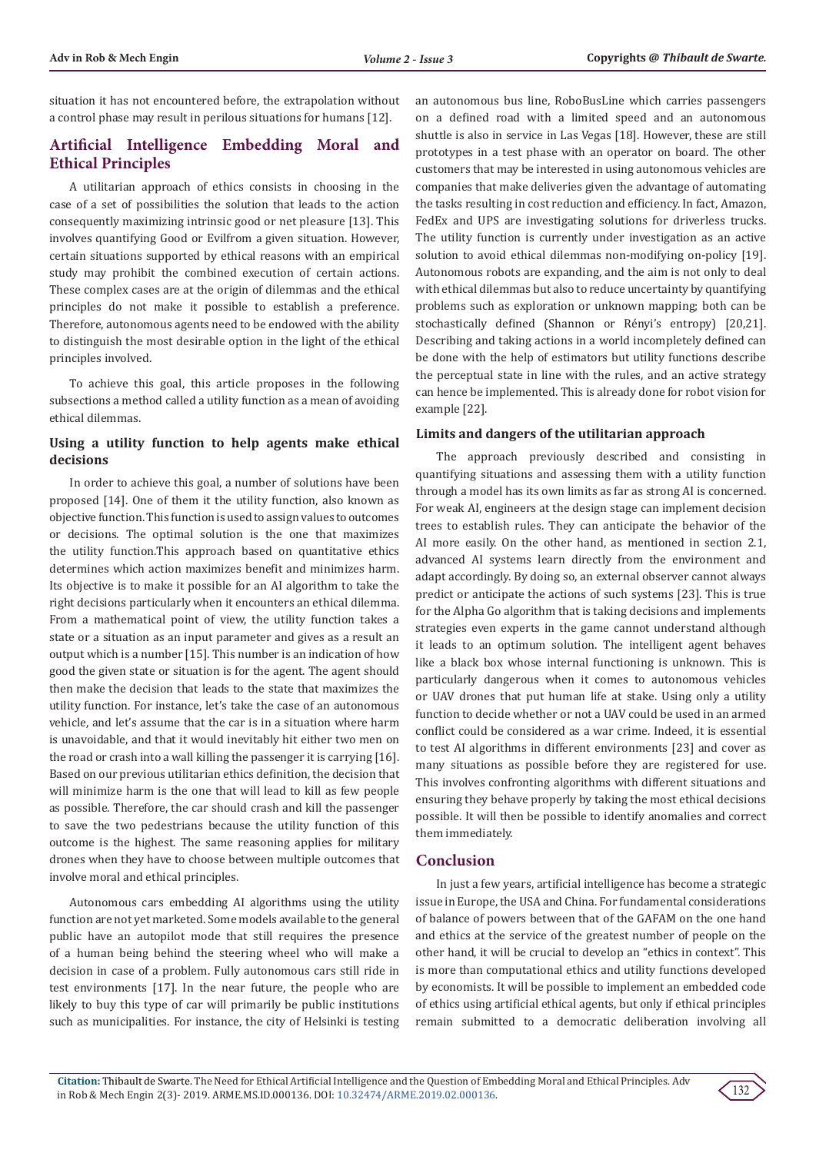situation it has not encountered before, the extrapolation without a control phase may result in perilous situations for humans [12].

# **Artificial Intelligence Embedding Moral and Ethical Principles**

A utilitarian approach of ethics consists in choosing in the case of a set of possibilities the solution that leads to the action consequently maximizing intrinsic good or net pleasure [13]. This involves quantifying Good or Evilfrom a given situation. However, certain situations supported by ethical reasons with an empirical study may prohibit the combined execution of certain actions. These complex cases are at the origin of dilemmas and the ethical principles do not make it possible to establish a preference. Therefore, autonomous agents need to be endowed with the ability to distinguish the most desirable option in the light of the ethical principles involved.

To achieve this goal, this article proposes in the following subsections a method called a utility function as a mean of avoiding ethical dilemmas.

# **Using a utility function to help agents make ethical decisions**

In order to achieve this goal, a number of solutions have been proposed [14]. One of them it the utility function, also known as objective function. This function is used to assign values to outcomes or decisions. The optimal solution is the one that maximizes the utility function.This approach based on quantitative ethics determines which action maximizes benefit and minimizes harm. Its objective is to make it possible for an AI algorithm to take the right decisions particularly when it encounters an ethical dilemma. From a mathematical point of view, the utility function takes a state or a situation as an input parameter and gives as a result an output which is a number [15]. This number is an indication of how good the given state or situation is for the agent. The agent should then make the decision that leads to the state that maximizes the utility function. For instance, let's take the case of an autonomous vehicle, and let's assume that the car is in a situation where harm is unavoidable, and that it would inevitably hit either two men on the road or crash into a wall killing the passenger it is carrying [16]. Based on our previous utilitarian ethics definition, the decision that will minimize harm is the one that will lead to kill as few people as possible. Therefore, the car should crash and kill the passenger to save the two pedestrians because the utility function of this outcome is the highest. The same reasoning applies for military drones when they have to choose between multiple outcomes that involve moral and ethical principles.

Autonomous cars embedding AI algorithms using the utility function are not yet marketed. Some models available to the general public have an autopilot mode that still requires the presence of a human being behind the steering wheel who will make a decision in case of a problem. Fully autonomous cars still ride in test environments [17]. In the near future, the people who are likely to buy this type of car will primarily be public institutions such as municipalities. For instance, the city of Helsinki is testing an autonomous bus line, RoboBusLine which carries passengers on a defined road with a limited speed and an autonomous shuttle is also in service in Las Vegas [18]. However, these are still prototypes in a test phase with an operator on board. The other customers that may be interested in using autonomous vehicles are companies that make deliveries given the advantage of automating the tasks resulting in cost reduction and efficiency. In fact, Amazon, FedEx and UPS are investigating solutions for driverless trucks. The utility function is currently under investigation as an active solution to avoid ethical dilemmas non-modifying on-policy [19]. Autonomous robots are expanding, and the aim is not only to deal with ethical dilemmas but also to reduce uncertainty by quantifying problems such as exploration or unknown mapping; both can be stochastically defined (Shannon or Rényi's entropy) [20,21]. Describing and taking actions in a world incompletely defined can be done with the help of estimators but utility functions describe the perceptual state in line with the rules, and an active strategy can hence be implemented. This is already done for robot vision for example [22].

## **Limits and dangers of the utilitarian approach**

The approach previously described and consisting in quantifying situations and assessing them with a utility function through a model has its own limits as far as strong AI is concerned. For weak AI, engineers at the design stage can implement decision trees to establish rules. They can anticipate the behavior of the AI more easily. On the other hand, as mentioned in section 2.1, advanced AI systems learn directly from the environment and adapt accordingly. By doing so, an external observer cannot always predict or anticipate the actions of such systems [23]. This is true for the Alpha Go algorithm that is taking decisions and implements strategies even experts in the game cannot understand although it leads to an optimum solution. The intelligent agent behaves like a black box whose internal functioning is unknown. This is particularly dangerous when it comes to autonomous vehicles or UAV drones that put human life at stake. Using only a utility function to decide whether or not a UAV could be used in an armed conflict could be considered as a war crime. Indeed, it is essential to test AI algorithms in different environments [23] and cover as many situations as possible before they are registered for use. This involves confronting algorithms with different situations and ensuring they behave properly by taking the most ethical decisions possible. It will then be possible to identify anomalies and correct them immediately.

# **Conclusion**

In just a few years, artificial intelligence has become a strategic issue in Europe, the USA and China. For fundamental considerations of balance of powers between that of the GAFAM on the one hand and ethics at the service of the greatest number of people on the other hand, it will be crucial to develop an "ethics in context". This is more than computational ethics and utility functions developed by economists. It will be possible to implement an embedded code of ethics using artificial ethical agents, but only if ethical principles remain submitted to a democratic deliberation involving all